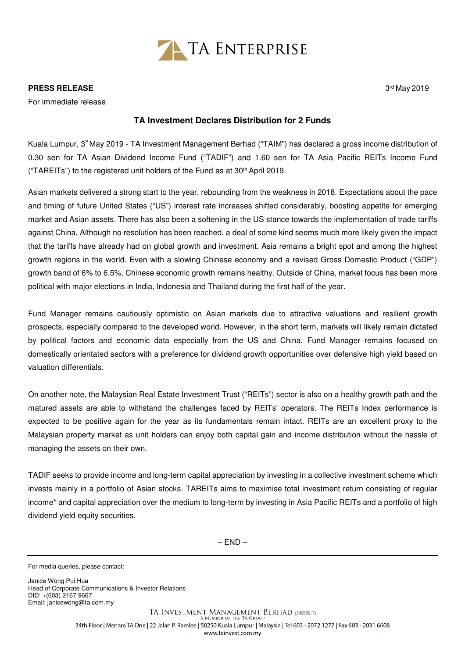

## **PRESS RELEASE**

For immediate release

## **TA Investment Declares Distribution for 2 Funds**

Kuala Lumpur, 3<sup>rd</sup> May 2019 - TA Investment Management Berhad ("TAIM") has declared a gross income distribution of 0.30 sen for TA Asian Dividend Income Fund ("TADIF") and 1.60 sen for TA Asia Pacific REITs Income Fund ("TAREITs") to the registered unit holders of the Fund as at 30th April 2019.

Asian markets delivered a strong start to the year, rebounding from the weakness in 2018. Expectations about the pace and timing of future United States ("US") interest rate increases shifted considerably, boosting appetite for emerging market and Asian assets. There has also been a softening in the US stance towards the implementation of trade tariffs against China. Although no resolution has been reached, a deal of some kind seems much more likely given the impact that the tariffs have already had on global growth and investment. Asia remains a bright spot and among the highest growth regions in the world. Even with a slowing Chinese economy and a revised Gross Domestic Product ("GDP") growth band of 6% to 6.5%, Chinese economic growth remains healthy. Outside of China, market focus has been more political with major elections in India, Indonesia and Thailand during the first half of the year.

Fund Manager remains cautiously optimistic on Asian markets due to attractive valuations and resilient growth prospects, especially compared to the developed world. However, in the short term, markets will likely remain dictated by political factors and economic data especially from the US and China. Fund Manager remains focused on domestically orientated sectors with a preference for dividend growth opportunities over defensive high yield based on valuation differentials.

On another note, the Malaysian Real Estate Investment Trust ("REITs") sector is also on a healthy growth path and the matured assets are able to withstand the challenges faced by REITs' operators. The REITs Index performance is expected to be positive again for the year as its fundamentals remain intact. REITs are an excellent proxy to the Malaysian property market as unit holders can enjoy both capital gain and income distribution without the hassle of managing the assets on their own.

TADIF seeks to provide income and long-term capital appreciation by investing in a collective investment scheme which invests mainly in a portfolio of Asian stocks. TAREITs aims to maximise total investment return consisting of regular income\* and capital appreciation over the medium to long-term by investing in Asia Pacific REITs and a portfolio of high dividend yield equity securities.

 $-$  END  $-$ 

Janice Wong Pui Hua Head of Corporate Communications & Investor Relations DID: +(603) 2167 9667 Email: janicewong@ta.com.my

> TA INVESTMENT MANAGEMENT BERHAD (340588-T) A MEMBER OF THE TA GROUP 34th Floor | Menara TA One | 22 Jalan P. Ramlee | 50250 Kuala Lumpur | Malaysia | Tel 603 - 2072 1277 | Fax 603 - 2031 6608 www.tainvest.com.mv

3rd May 2019

For media queries, please contact: